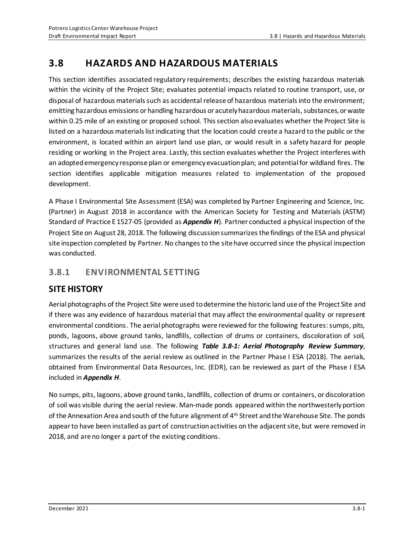# **3.8 HAZARDS AND HAZARDOUS MATERIALS**

This section identifies associated regulatory requirements; describes the existing hazardous materials within the vicinity of the Project Site; evaluates potential impacts related to routine transport, use, or disposal of hazardous materials such as accidental release of hazardous materials into the environment; emitting hazardous emissions or handling hazardous or acutely hazardous materials, substances, or waste within 0.25 mile of an existing or proposed school. This section also evaluates whether the Project Site is listed on a hazardous materials list indicating that the location could create a hazard to the public or the environment, is located within an airport land use plan, or would result in a safety hazard for people residing or working in the Project area. Lastly, this section evaluates whether the Project interferes with an adopted emergency response plan or emergency evacuation plan; and potential for wildland fires. The section identifies applicable mitigation measures related to implementation of the proposed development.

A Phase I Environmental Site Assessment (ESA) was completed by Partner Engineering and Science, Inc. (Partner) in August 2018 in accordance with the American Society for Testing and Materials (ASTM) Standard of Practice E 1527-05 (provided as *Appendix H*). Partner conducted a physical inspection of the Project Site on August 28, 2018. The following discussion summarizes the findings of the ESA and physical site inspection completed by Partner. No changes to the site have occurred since the physical inspection was conducted.

# **3.8.1 ENVIRONMENTAL SETTING**

# **SITE HISTORY**

Aerial photographs of the Project Site were used to determine the historic land use of the Project Site and if there was any evidence of hazardous material that may affect the environmental quality or represent environmental conditions. The aerial photographs were reviewed for the following features: sumps, pits, ponds, lagoons, above ground tanks, landfills, collection of drums or containers, discoloration of soil, structures and general land use. The following *Table 3.8-1: Aerial Photography Review Summary*, summarizes the results of the aerial review as outlined in the Partner Phase I ESA (2018). The aerials, obtained from Environmental Data Resources, Inc. (EDR), can be reviewed as part of the Phase I ESA included in *Appendix H*.

No sumps, pits, lagoons, above ground tanks, landfills, collection of drums or containers, or discoloration of soil was visible during the aerial review. Man-made ponds appeared within the northwesterly portion of the Annexation Area and south of the future alignment of 4<sup>th</sup> Street and the Warehouse Site. The ponds appear to have been installed as part of construction activities on the adjacent site, but were removed in 2018, and are no longer a part of the existing conditions.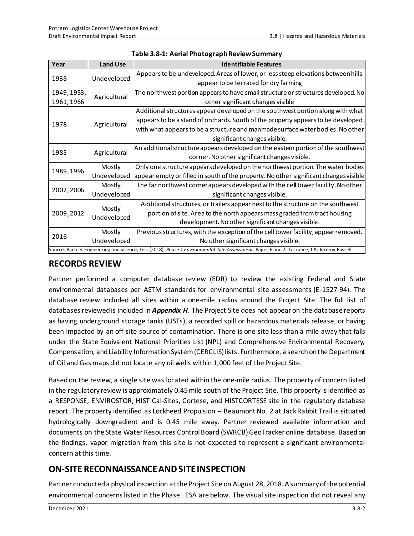| Year                                                                                                                                      | <b>Land Use</b>       | <b>Identifiable Features</b>                                                          |  |
|-------------------------------------------------------------------------------------------------------------------------------------------|-----------------------|---------------------------------------------------------------------------------------|--|
| 1938                                                                                                                                      | Undeveloped           | Appears to be undeveloped. Areas of lower, or less steep elevations between hills     |  |
|                                                                                                                                           |                       | appear to be terraced for dry farming                                                 |  |
| 1949, 1953,                                                                                                                               | Agricultural          | The northwest portion appears to have small structure or structures developed. No     |  |
| 1961, 1966                                                                                                                                |                       | other significant changes visible                                                     |  |
| 1978                                                                                                                                      | Agricultural          | Additional structures appear developed on the southwest portion along with what       |  |
|                                                                                                                                           |                       | appears to be a stand of orchards. South of the property appears to be developed      |  |
|                                                                                                                                           |                       | with what appears to be a structure and manmade surface water bodies. No other        |  |
|                                                                                                                                           |                       | significant changes visible.                                                          |  |
| 1985                                                                                                                                      | Agricultural          | An additional structure appears developed on the eastern portion of the southwest     |  |
|                                                                                                                                           |                       | corner. No other significant changes visible.                                         |  |
| 1989, 1996                                                                                                                                | Mostly                | Only one structure appears developed on the northwest portion. The water bodies       |  |
|                                                                                                                                           | Undeveloped           | appear empty or filled in south of the property. No other significant changes visible |  |
| 2002, 2006                                                                                                                                | Mostly                | The far northwest corner appears developed with the cell tower facility. No other     |  |
|                                                                                                                                           | Undeveloped           | significant changes visible.                                                          |  |
| 2009, 2012                                                                                                                                | Mostly<br>Undeveloped | Additional structures, or trailers appear next to the structure on the southwest      |  |
|                                                                                                                                           |                       | portion of site. Area to the north appears mass graded from tract housing             |  |
|                                                                                                                                           |                       | development. No other significant changes visible.                                    |  |
| 2016                                                                                                                                      | Mostly                | Previous structures, with the exception of the cell tower facility, appear removed.   |  |
|                                                                                                                                           | Undeveloped           | No other significant changes visible.                                                 |  |
| Source: Partner Engineering and Science, Inc. (2018). Phase 1 Environmental Site Assessment. Pages 6 and 7. Torrance, CA: Jeremy Russell. |                       |                                                                                       |  |

|  | Table 3.8-1: Aerial Photograph Review Summary |
|--|-----------------------------------------------|
|--|-----------------------------------------------|

# **RECORDS REVIEW**

Partner performed a computer database review (EDR) to review the existing Federal and State environmental databases per ASTM standards for environmental site assessments (E-1527-94). The database review included all sites within a one-mile radius around the Project Site. The full list of databases reviewed is included in *Appendix H*. The Project Site does not appear on the database reports as having underground storage tanks (USTs), a recorded spill or hazardous materials release, or having been impacted by an off-site source of contamination. There is one site less than a mile away that falls under the State Equivalent National Priorities List (NPL) and Comprehensive Environmental Recovery, Compensation, and Liability Information System (CERCLIS) lists. Furthermore, a search on the Department of Oil and Gas maps did not locate any oil wells within 1,000 feet of the Project Site.

Based on the review, a single site was located within the one-mile radius. The property of concern listed in the regulatory review is approximately 0.45 mile south of the Project Site. This property is identified as a RESPONSE, ENVIROSTOR, HIST Cal-Sites, Cortese, and HISTCORTESE site in the regulatory database report. The property identified as Lockheed Propulsion – Beaumont No. 2 at JackRabbit Trail is situated hydrologically downgradient and is 0.45 mile away. Partner reviewed available information and documents on the State Water Resources Control Board (SWRCB) GeoTracker online database. Based on the findings, vapor migration from this site is not expected to represent a significant environmental concern at this time.

# **ON-SITE RECONNAISSANCE AND SITE INSPECTION**

Partner conducted a physical inspection at the Project Site on August 28, 2018. A summary of the potential environmental concerns listed in the Phase I ESA are below. The visual site inspection did not reveal any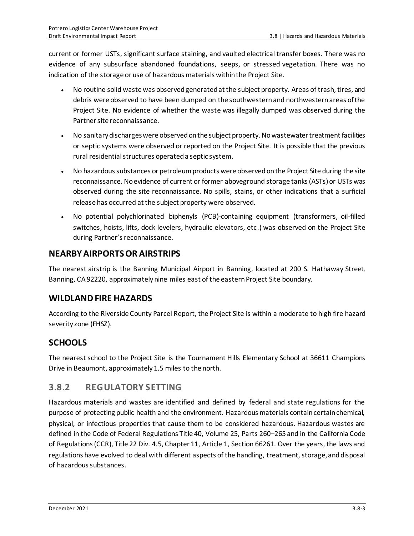current or former USTs, significant surface staining, and vaulted electrical transfer boxes. There was no evidence of any subsurface abandoned foundations, seeps, or stressed vegetation. There was no indication of the storage or use of hazardous materials within the Project Site.

- No routine solid waste was observed generated at the subject property. Areas of trash, tires, and debris were observed to have been dumped on the southwestern and northwestern areas of the Project Site. No evidence of whether the waste was illegally dumped was observed during the Partner site reconnaissance.
- No sanitary discharges were observed on the subject property. No wastewater treatment facilities or septic systems were observed or reported on the Project Site. It is possible that the previous rural residential structures operated a septic system.
- No hazardous substances or petroleum products were observed on the Project Site during the site reconnaissance. No evidence of current or former aboveground storage tanks (ASTs)or USTs was observed during the site reconnaissance. No spills, stains, or other indications that a surficial release has occurred at the subject property were observed.
- No potential polychlorinated biphenyls (PCB)-containing equipment (transformers, oil-filled switches, hoists, lifts, dock levelers, hydraulic elevators, etc.) was observed on the Project Site during Partner's reconnaissance.

# **NEARBY AIRPORTS OR AIRSTRIPS**

The nearest airstrip is the Banning Municipal Airport in Banning, located at 200 S. Hathaway Street, Banning, CA92220, approximately nine miles east of the eastern Project Site boundary.

# **WILDLAND FIRE HAZARDS**

According to the Riverside County Parcel Report, the Project Site is within a moderate to high fire hazard severity zone (FHSZ).

# **SCHOOLS**

The nearest school to the Project Site is the Tournament Hills Elementary School at 36611 Champions Drive in Beaumont, approximately 1.5 miles to the north.

# **3.8.2 REGULATORY SETTING**

Hazardous materials and wastes are identified and defined by federal and state regulations for the purpose of protecting public health and the environment. Hazardous materials contain certain chemical, physical, or infectious properties that cause them to be considered hazardous. Hazardous wastes are defined in the Code of Federal Regulations Title 40, Volume 25, Parts 260–265 and in the California Code of Regulations (CCR), Title 22 Div. 4.5, Chapter 11, Article 1, Section 66261. Over the years, the laws and regulations have evolved to deal with different aspects of the handling, treatment, storage, and disposal of hazardous substances.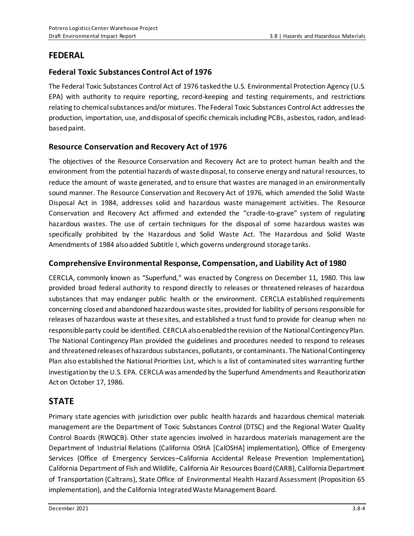# **FEDERAL**

### **Federal Toxic Substances Control Act of 1976**

The Federal Toxic Substances Control Act of 1976 tasked the U.S. Environmental Protection Agency (U.S. EPA) with authority to require reporting, record-keeping and testing requirements, and restrictions relating to chemical substances and/or mixtures. The Federal Toxic Substances Control Act addresses the production, importation, use, and disposal of specific chemicals including PCBs, asbestos, radon, and leadbased paint.

### **Resource Conservation and Recovery Act of 1976**

The objectives of the Resource Conservation and Recovery Act are to protect human health and the environment from the potential hazards of waste disposal, to conserve energy and natural resources, to reduce the amount of waste generated, and to ensure that wastes are managed in an environmentally sound manner. The Resource Conservation and Recovery Act of 1976, which amended the Solid Waste Disposal Act in 1984, addresses solid and hazardous waste management activities. The Resource Conservation and Recovery Act affirmed and extended the "cradle-to-grave" system of regulating hazardous wastes. The use of certain techniques for the disposal of some hazardous wastes was specifically prohibited by the Hazardous and Solid Waste Act. The Hazardous and Solid Waste Amendments of 1984 also added Subtitle I, which governs underground storage tanks.

### **Comprehensive Environmental Response, Compensation, and Liability Act of 1980**

CERCLA, commonly known as "Superfund," was enacted by Congress on December 11, 1980. This law provided broad federal authority to respond directly to releases or threatened releases of hazardous substances that may endanger public health or the environment. CERCLA established requirements concerning closed and abandoned hazardous waste sites, provided for liability of persons responsible for releases of hazardous waste at these sites, and established a trust fund to provide for cleanup when no responsible party could be identified. CERCLA also enabled the revision of the National Contingency Plan. The National Contingency Plan provided the guidelines and procedures needed to respond to releases and threatened releases of hazardous substances, pollutants, or contaminants. The National Contingency Plan also established the National Priorities List, which is a list of contaminated sites warranting further investigation by the U.S. EPA. CERCLA was amended by the Superfund Amendments and Reauthorization Act on October 17, 1986.

# **STATE**

Primary state agencies with jurisdiction over public health hazards and hazardous chemical materials management are the Department of Toxic Substances Control (DTSC) and the Regional Water Quality Control Boards (RWQCB). Other state agencies involved in hazardous materials management are the Department of Industrial Relations (California OSHA [CalOSHA] implementation), Office of Emergency Services (Office of Emergency Services–California Accidental Release Prevention Implementation), California Department of Fish and Wildlife, California Air Resources Board (CARB), California Department of Transportation (Caltrans), State Office of Environmental Health Hazard Assessment (Proposition 65 implementation), and the California Integrated Waste Management Board.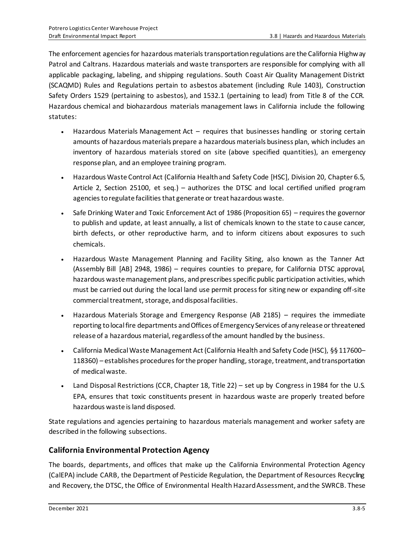The enforcement agencies for hazardous materials transportation regulations are the California Highway Patrol and Caltrans. Hazardous materials and waste transporters are responsible for complying with all applicable packaging, labeling, and shipping regulations. South Coast Air Quality Management District (SCAQMD) Rules and Regulations pertain to asbestos abatement (including Rule 1403), Construction Safety Orders 1529 (pertaining to asbestos), and 1532.1 (pertaining to lead) from Title 8 of the CCR. Hazardous chemical and biohazardous materials management laws in California include the following statutes:

- Hazardous Materials Management Act requires that businesses handling or storing certain amounts of hazardous materials prepare a hazardous materials business plan, which includes an inventory of hazardous materials stored on site (above specified quantities), an emergency response plan, and an employee training program.
- Hazardous Waste Control Act (California Health and Safety Code [HSC], Division 20, Chapter 6.5, Article 2, Section 25100, et seq.) – authorizes the DTSC and local certified unified program agencies to regulate facilities that generate or treat hazardous waste.
- Safe Drinking Water and Toxic Enforcement Act of 1986 (Proposition 65) requires the governor to publish and update, at least annually, a list of chemicals known to the state to cause cancer, birth defects, or other reproductive harm, and to inform citizens about exposures to such chemicals.
- Hazardous Waste Management Planning and Facility Siting, also known as the Tanner Act (Assembly Bill [AB] 2948, 1986) – requires counties to prepare, for California DTSC approval, hazardous waste management plans, and prescribes specific public participation activities, which must be carried out during the local land use permit process for siting new or expanding off-site commercial treatment, storage, and disposal facilities.
- Hazardous Materials Storage and Emergency Response (AB 2185) requires the immediate reporting to local fire departments and Offices of Emergency Services of any release or threatened release of a hazardous material, regardless of the amount handled by the business.
- California Medical Waste Management Act (California Health and Safety Code (HSC), §§ 117600-118360) – establishes procedures for the proper handling, storage, treatment, and transportation of medical waste.
- Land Disposal Restrictions (CCR, Chapter 18, Title 22) set up by Congress in 1984 for the U.S. EPA, ensures that toxic constituents present in hazardous waste are properly treated before hazardous waste is land disposed.

State regulations and agencies pertaining to hazardous materials management and worker safety are described in the following subsections.

### **California Environmental Protection Agency**

The boards, departments, and offices that make up the California Environmental Protection Agency (CalEPA) include CARB, the Department of Pesticide Regulation, the Department of Resources Recycling and Recovery, the DTSC, the Office of Environmental Health Hazard Assessment, and the SWRCB. These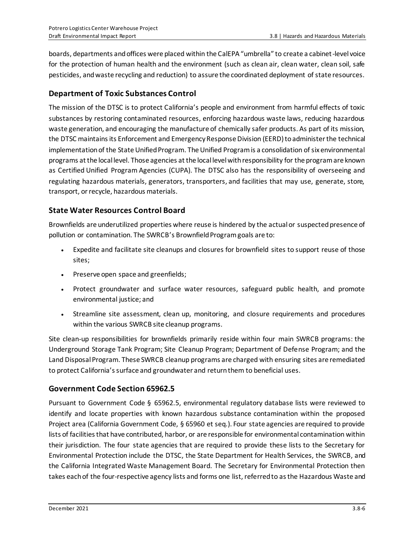boards, departments and offices were placed within the CalEPA "umbrella" to create a cabinet-level voice for the protection of human health and the environment (such as clean air, clean water, clean soil, safe pesticides, and waste recycling and reduction) to assure the coordinated deployment of state resources.

### **Department of Toxic Substances Control**

The mission of the DTSC is to protect California's people and environment from harmful effects of toxic substances by restoring contaminated resources, enforcing hazardous waste laws, reducing hazardous waste generation, and encouraging the manufacture of chemically safer products. As part of its mission, the DTSC maintains its Enforcement and Emergency Response Division (EERD) to administer the technical implementation of the State Unified Program. The Unified Program is a consolidation of six environmental programs at the local level. Those agencies at the local level with responsibility for the program are known as Certified Unified Program Agencies (CUPA). The DTSC also has the responsibility of overseeing and regulating hazardous materials, generators, transporters, and facilities that may use, generate, store, transport, or recycle, hazardous materials.

### **State Water Resources Control Board**

Brownfields are underutilized properties where reuse is hindered by the actual or suspected presence of pollution or contamination. The SWRCB's Brownfield Program goals are to:

- Expedite and facilitate site cleanups and closures for brownfield sites to support reuse of those sites;
- Preserve open space and greenfields;
- Protect groundwater and surface water resources, safeguard public health, and promote environmental justice; and
- Streamline site assessment, clean up, monitoring, and closure requirements and procedures within the various SWRCB site cleanup programs.

Site clean-up responsibilities for brownfields primarily reside within four main SWRCB programs: the Underground Storage Tank Program; Site Cleanup Program; Department of Defense Program; and the Land Disposal Program. These SWRCB cleanup programs are charged with ensuring sites are remediated to protect California's surface and groundwater and return them to beneficial uses.

### **Government Code Section 65962.5**

Pursuant to Government Code § 65962.5, environmental regulatory database lists were reviewed to identify and locate properties with known hazardous substance contamination within the proposed Project area (California Government Code, § 65960 et seq.). Four state agencies are required to provide lists of facilities that have contributed, harbor, or are responsible for environmental contamination within their jurisdiction. The four state agencies that are required to provide these lists to the Secretary for Environmental Protection include the DTSC, the State Department for Health Services, the SWRCB, and the California Integrated Waste Management Board. The Secretary for Environmental Protection then takes each of the four-respective agency lists and forms one list, referred to as the Hazardous Waste and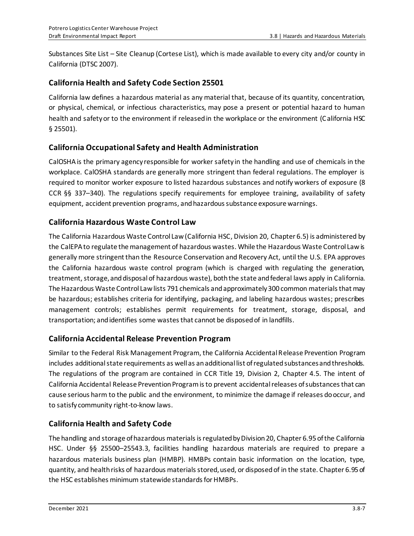Substances Site List – Site Cleanup (Cortese List), which is made available to every city and/or county in California (DTSC 2007).

### **California Health and Safety Code Section 25501**

California law defines a hazardous material as any material that, because of its quantity, concentration, or physical, chemical, or infectious characteristics, may pose a present or potential hazard to human health and safety or to the environment if released in the workplace or the environment (California HSC § 25501).

### **California Occupational Safety and Health Administration**

CalOSHAis the primary agency responsible for worker safety in the handling and use of chemicals in the workplace. CalOSHA standards are generally more stringent than federal regulations. The employer is required to monitor worker exposure to listed hazardous substances and notify workers of exposure (8 CCR §§ 337–340). The regulations specify requirements for employee training, availability of safety equipment, accident prevention programs, and hazardous substance exposure warnings.

### **California Hazardous Waste Control Law**

The California Hazardous Waste Control Law (California HSC, Division 20, Chapter 6.5) is administered by the CalEPA to regulate the management of hazardous wastes. While the Hazardous Waste Control Law is generally more stringent than the Resource Conservation and Recovery Act, until the U.S. EPA approves the California hazardous waste control program (which is charged with regulating the generation, treatment, storage, and disposal of hazardous waste), both the state and federal laws apply in California. The Hazardous Waste Control Law lists 791 chemicals and approximately 300 common materials that may be hazardous; establishes criteria for identifying, packaging, and labeling hazardous wastes; prescribes management controls; establishes permit requirements for treatment, storage, disposal, and transportation; and identifies some wastes that cannot be disposed of in landfills.

### **California Accidental Release Prevention Program**

Similar to the Federal Risk Management Program, the California Accidental Release Prevention Program includes additional state requirements as well as an additional list of regulated substances and thresholds. The regulations of the program are contained in CCR Title 19, Division 2, Chapter 4.5. The intent of California Accidental Release Prevention Program is to prevent accidental releases of substances that can cause serious harm to the public and the environment, to minimize the damage if releases do occur, and to satisfy community right-to-know laws.

### **California Health and Safety Code**

The handling and storage of hazardous materials is regulated by Division 20, Chapter 6.95 of the California HSC. Under §§ 25500–25543.3, facilities handling hazardous materials are required to prepare a hazardous materials business plan (HMBP). HMBPs contain basic information on the location, type, quantity, and health risks of hazardous materials stored, used, or disposed of in the state. Chapter 6.95 of the HSC establishes minimum statewide standards for HMBPs.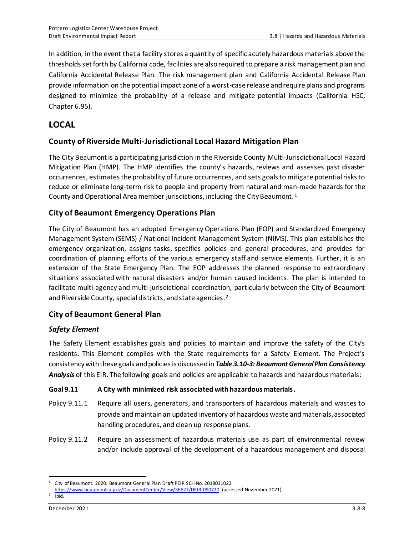In addition, in the event that a facility stores a quantity of specific acutely hazardous materials above the thresholds set forth by California code, facilities are also required to prepare a risk management plan and California Accidental Release Plan. The risk management plan and California Accidental Release Plan provide information on the potential impact zone of a worst-case release and require plans and programs designed to minimize the probability of a release and mitigate potential impacts (California HSC, Chapter 6.95).

# **LOCAL**

### **County of Riverside Multi-Jurisdictional Local Hazard Mitigation Plan**

The City Beaumont is a participating jurisdiction in the Riverside County Multi-Jurisdictional Local Hazard Mitigation Plan (HMP). The HMP identifies the county's hazards, reviews and assesses past disaster occurrences, estimates the probability of future occurrences, and sets goals to mitigate potential risks to reduce or eliminate long-term risk to people and property from natural and man-made hazards for the County and Operational Area member jurisdictions, including the City Beaumont. <sup>1</sup>

### **City of Beaumont Emergency Operations Plan**

The City of Beaumont has an adopted Emergency Operations Plan (EOP) and Standardized Emergency Management System (SEMS) / National Incident Management System (NIMS). This plan establishes the emergency organization, assigns tasks, specifies policies and general procedures, and provides for coordination of planning efforts of the various emergency staff and service elements. Further, it is an extension of the State Emergency Plan. The EOP addresses the planned response to extraordinary situations associated with natural disasters and/or human caused incidents. The plan is intended to facilitate multi-agency and multi-jurisdictional coordination, particularly between the City of Beaumont and Riverside County, special districts, and state agencies. <sup>2</sup>

### **City of Beaumont General Plan**

#### *Safety Element*

The Safety Element establishes goals and policies to maintain and improve the safety of the City's residents. This Element complies with the State requirements for a Safety Element. The Project's consistency with these goals and policies is discussed in *Table 3.10-3: Beaumont General Plan Consistency Analysis* of this EIR. The following goals and policies are applicable to hazards and hazardous materials:

#### **Goal 9.11 A City with minimized risk associated with hazardous materials.**

- Policy 9.11.1 Require all users, generators, and transporters of hazardous materials and wastes to provide and maintain an updated inventory of hazardous waste and materials, associated handling procedures, and clean up response plans.
- Policy 9.11.2 Require an assessment of hazardous materials use as part of environmental review and/or include approval of the development of a hazardous management and disposal

<sup>1</sup> City of Beaumont. 2020. Beaumont General Plan Draft PEIR SCH No. 2018031022.

<https://www.beaumontca.gov/DocumentCenter/View/36627/DEIR-090720> (accessed November 2021).  $2$  Ibid.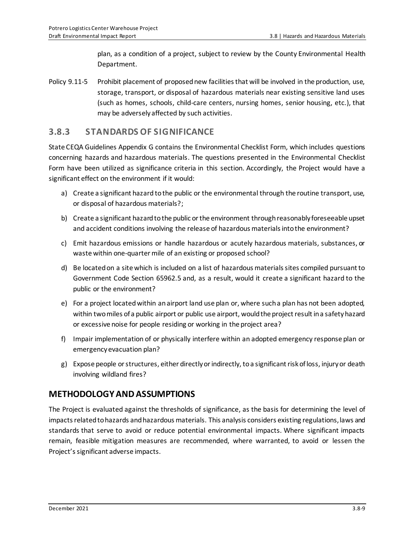plan, as a condition of a project, subject to review by the County Environmental Health Department.

Policy 9.11-5 Prohibit placement of proposed new facilities that will be involved in the production, use, storage, transport, or disposal of hazardous materials near existing sensitive land uses (such as homes, schools, child-care centers, nursing homes, senior housing, etc.), that may be adversely affected by such activities.

### **3.8.3 STANDARDS OF SIGNIFICANCE**

State CEQA Guidelines Appendix G contains the Environmental Checklist Form, which includes questions concerning hazards and hazardous materials. The questions presented in the Environmental Checklist Form have been utilized as significance criteria in this section. Accordingly, the Project would have a significant effect on the environment if it would:

- a) Create a significant hazard to the public or the environmental through the routine transport, use, or disposal of hazardous materials?;
- b) Create a significant hazard to the public or the environment through reasonably foreseeable upset and accident conditions involving the release of hazardous materials into the environment?
- c) Emit hazardous emissions or handle hazardous or acutely hazardous materials, substances, or waste within one-quarter mile of an existing or proposed school?
- d) Be located on a site which is included on a list of hazardous materials sites compiled pursuant to Government Code Section 65962.5 and, as a result, would it create a significant hazard to the public or the environment?
- e) For a project located within an airport land use plan or, where such a plan has not been adopted, within two miles of a public airport or public use airport, would the project result in a safety hazard or excessive noise for people residing or working in the project area?
- f) Impair implementation of or physically interfere within an adopted emergency response plan or emergency evacuation plan?
- g) Expose people or structures, either directly or indirectly, to a significant risk of loss, injury or death involving wildland fires?

# **METHODOLOGY AND ASSUMPTIONS**

The Project is evaluated against the thresholds of significance, as the basis for determining the level of impacts related to hazards and hazardous materials. This analysis considers existing regulations, laws and standards that serve to avoid or reduce potential environmental impacts. Where significant impacts remain, feasible mitigation measures are recommended, where warranted, to avoid or lessen the Project's significant adverse impacts.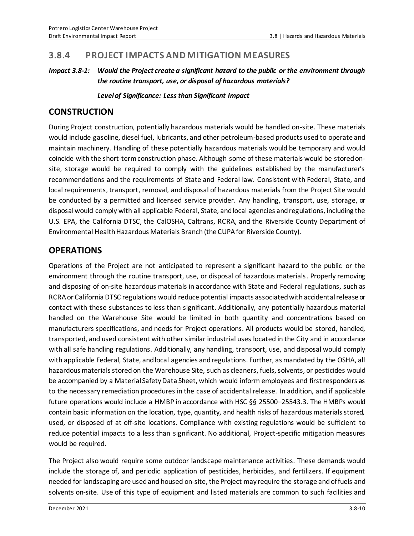## **3.8.4 PROJECT IMPACTS AND MITIGATION MEASURES**

#### *Impact 3.8-1: Would the Project create a significant hazard to the public or the environment through the routine transport, use, or disposal of hazardous materials?*

*Level of Significance: Less than Significant Impact*

# **CONSTRUCTION**

During Project construction, potentially hazardous materials would be handled on-site. These materials would include gasoline, diesel fuel, lubricants, and other petroleum-based products used to operate and maintain machinery. Handling of these potentially hazardous materials would be temporary and would coincide with the short-term construction phase. Although some of these materials would be stored onsite, storage would be required to comply with the guidelines established by the manufacturer's recommendations and the requirements of State and Federal law. Consistent with Federal, State, and local requirements, transport, removal, and disposal of hazardous materials from the Project Site would be conducted by a permitted and licensed service provider. Any handling, transport, use, storage, or disposal would comply with all applicable Federal, State, and local agencies and regulations, including the U.S. EPA, the California DTSC, the CalOSHA, Caltrans, RCRA, and the Riverside County Department of Environmental Health Hazardous Materials Branch (the CUPAfor Riverside County).

# **OPERATIONS**

Operations of the Project are not anticipated to represent a significant hazard to the public or the environment through the routine transport, use, or disposal of hazardous materials. Properly removing and disposing of on-site hazardous materials in accordance with State and Federal regulations, such as RCRA or California DTSC regulations would reduce potential impacts associated with accidental release or contact with these substances to less than significant. Additionally, any potentially hazardous material handled on the Warehouse Site would be limited in both quantity and concentrations based on manufacturers specifications, and needs for Project operations. All products would be stored, handled, transported, and used consistent with other similar industrial uses located in the City and in accordance with all safe handling regulations. Additionally, any handling, transport, use, and disposal would comply with applicable Federal, State, and local agencies and regulations. Further, as mandated by the OSHA, all hazardous materials stored on the Warehouse Site, such as cleaners, fuels, solvents, or pesticides would be accompanied by a Material Safety Data Sheet, which would inform employees and first responders as to the necessary remediation procedures in the case of accidental release. In addition, and if applicable future operations would include a HMBP in accordance with HSC §§ 25500–25543.3. The HMBPs would contain basic information on the location, type, quantity, and health risks of hazardous materials stored, used, or disposed of at off-site locations. Compliance with existing regulations would be sufficient to reduce potential impacts to a less than significant. No additional, Project-specific mitigation measures would be required.

The Project also would require some outdoor landscape maintenance activities. These demands would include the storage of, and periodic application of pesticides, herbicides, and fertilizers. If equipment needed for landscaping are used and housed on-site, the Project may require the storage and of fuels and solvents on-site. Use of this type of equipment and listed materials are common to such facilities and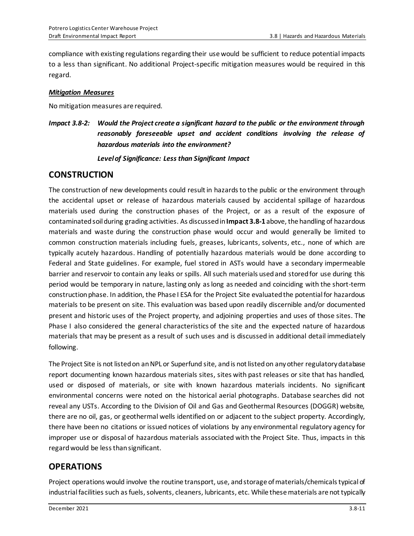compliance with existing regulations regarding their use would be sufficient to reduce potential impacts to a less than significant. No additional Project-specific mitigation measures would be required in this regard.

#### *Mitigation Measures*

No mitigation measures are required.

*Impact 3.8-2: Would the Project create a significant hazard to the public or the environment through reasonably foreseeable upset and accident conditions involving the release of hazardous materials into the environment?*

*Level of Significance: Less than Significant Impact*

### **CONSTRUCTION**

The construction of new developments could result in hazards to the public or the environment through the accidental upset or release of hazardous materials caused by accidental spillage of hazardous materials used during the construction phases of the Project, or as a result of the exposure of contaminated soil during grading activities. As discussed in**Impact 3.8-1** above, the handling of hazardous materials and waste during the construction phase would occur and would generally be limited to common construction materials including fuels, greases, lubricants, solvents, etc., none of which are typically acutely hazardous. Handling of potentially hazardous materials would be done according to Federal and State guidelines. For example, fuel stored in ASTs would have a secondary impermeable barrier and reservoir to contain any leaks or spills. All such materials used and stored for use during this period would be temporary in nature, lasting only as long as needed and coinciding with the short-term construction phase. In addition, the Phase I ESA for the Project Site evaluated the potential for hazardous materials to be present on site. This evaluation was based upon readily discernible and/or documented present and historic uses of the Project property, and adjoining properties and uses of those sites. The Phase I also considered the general characteristics of the site and the expected nature of hazardous materials that may be present as a result of such uses and is discussed in additional detail immediately following.

The Project Site is not listed on anNPL or Superfund site, and is not listed on any other regulatory database report documenting known hazardous materials sites, sites with past releases or site that has handled, used or disposed of materials, or site with known hazardous materials incidents. No significant environmental concerns were noted on the historical aerial photographs. Database searches did not reveal any USTs. According to the Division of Oil and Gas and Geothermal Resources (DOGGR) website, there are no oil, gas, or geothermal wells identified on or adjacent to the subject property. Accordingly, there have been no citations or issued notices of violations by any environmental regulatory agency for improper use or disposal of hazardous materials associated with the Project Site. Thus, impacts in this regard would be less than significant.

# **OPERATIONS**

Project operations would involve the routine transport, use, and storage of materials/chemicals typical of industrial facilities such as fuels, solvents, cleaners, lubricants, etc. While these materials are not typically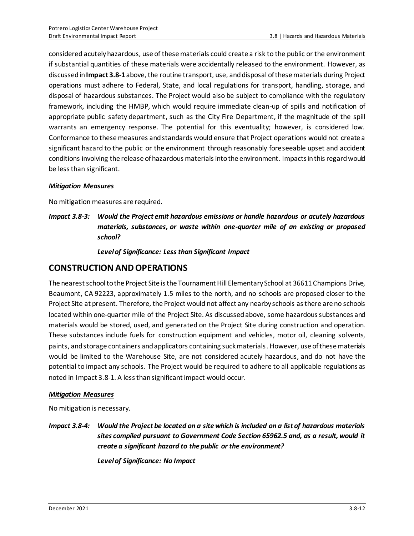considered acutely hazardous, use of these materials could create a risk to the public or the environment if substantial quantities of these materials were accidentally released to the environment. However, as discussed in **Impact 3.8-1** above, the routine transport, use, and disposal of these materials during Project operations must adhere to Federal, State, and local regulations for transport, handling, storage, and disposal of hazardous substances. The Project would also be subject to compliance with the regulatory framework, including the HMBP, which would require immediate clean-up of spills and notification of appropriate public safety department, such as the City Fire Department, if the magnitude of the spill warrants an emergency response. The potential for this eventuality; however, is considered low. Conformance to these measures and standards would ensure that Project operations would not create a significant hazard to the public or the environment through reasonably foreseeable upset and accident conditions involving the release of hazardous materials into the environment. Impacts in this regard would be less than significant.

#### *Mitigation Measures*

No mitigation measures are required.

*Impact 3.8-3: Would the Project emit hazardous emissions or handle hazardous or acutely hazardous materials, substances, or waste within one-quarter mile of an existing or proposed school?*

*Level of Significance: Less than Significant Impact*

### **CONSTRUCTION AND OPERATIONS**

The nearest school to the Project Site is the Tournament Hill Elementary School at 36611 Champions Drive, Beaumont, CA 92223, approximately 1.5 miles to the north, and no schools are proposed closer to the Project Site at present. Therefore, the Project would not affect any nearby schools as there are no schools located within one-quarter mile of the Project Site. As discussed above, some hazardous substances and materials would be stored, used, and generated on the Project Site during construction and operation. These substances include fuels for construction equipment and vehicles, motor oil, cleaning solvents, paints, and storage containers and applicators containing suck materials. However, use of thesematerials would be limited to the Warehouse Site, are not considered acutely hazardous, and do not have the potential to impact any schools. The Project would be required to adhere to all applicable regulations as noted in Impact 3.8-1. A less than significant impact would occur.

#### *Mitigation Measures*

No mitigation is necessary.

*Impact 3.8-4: Would the Project be located on a site which is included on a list of hazardous materials sites compiled pursuant to Government Code Section 65962.5 and, as a result, would it create a significant hazard to the public or the environment?*

*Levelof Significance: No Impact*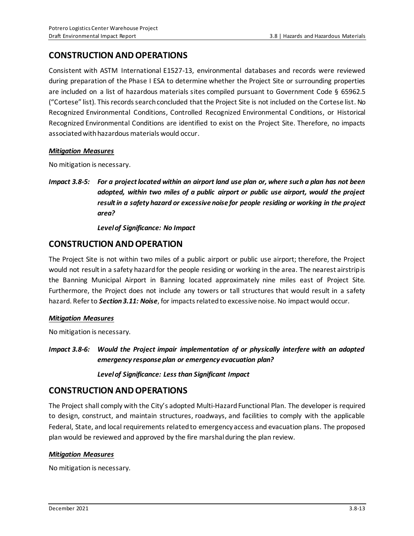# **CONSTRUCTION AND OPERATIONS**

Consistent with ASTM International E1527-13, environmental databases and records were reviewed during preparation of the Phase I ESA to determine whether the Project Site or surrounding properties are included on a list of hazardous materials sites compiled pursuant to Government Code § 65962.5 ("Cortese" list). This records search concluded that the Project Site is not included on the Cortese list. No Recognized Environmental Conditions, Controlled Recognized Environmental Conditions, or Historical Recognized Environmental Conditions are identified to exist on the Project Site. Therefore, no impacts associated with hazardous materials would occur.

#### *Mitigation Measures*

No mitigation is necessary.

*Impact 3.8-5: For a project located within an airport land use plan or, where such a plan has not been adopted, within two miles of a public airport or public use airport, would the project result in a safety hazard or excessive noise for people residing or working in the project area?*

*Level of Significance: No Impact*

### **CONSTRUCTION AND OPERATION**

The Project Site is not within two miles of a public airport or public use airport; therefore, the Project would not result in a safety hazard for the people residing or working in the area. The nearest airstrip is the Banning Municipal Airport in Banning located approximately nine miles east of Project Site. Furthermore, the Project does not include any towers or tall structures that would result in a safety hazard. Refer to *Section 3.11: Noise*, for impacts related to excessive noise. No impact would occur.

#### *Mitigation Measures*

No mitigation is necessary.

*Impact 3.8-6: Would the Project impair implementation of or physically interfere with an adopted emergency response plan or emergency evacuation plan?*

*Level of Significance: Less than Significant Impact*

### **CONSTRUCTION AND OPERATIONS**

The Project shall comply with the City's adopted Multi-Hazard Functional Plan. The developer is required to design, construct, and maintain structures, roadways, and facilities to comply with the applicable Federal, State, and local requirements related to emergency access and evacuation plans. The proposed plan would be reviewed and approved by the fire marshal during the plan review.

#### *Mitigation Measures*

No mitigation is necessary.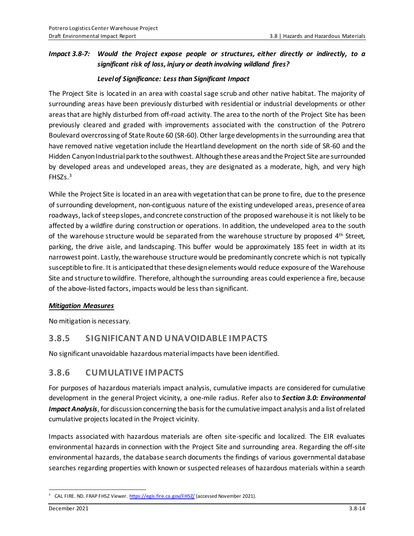#### *Impact 3.8-7: Would the Project expose people or structures, either directly or indirectly, to a significant risk of loss, injury or death involving wildland fires?*

#### *Level of Significance: Less than Significant Impact*

The Project Site is located in an area with coastal sage scrub and other native habitat. The majority of surrounding areas have been previously disturbed with residential or industrial developments or other areas that are highly disturbed from off-road activity. The area to the north of the Project Site has been previously cleared and graded with improvements associated with the construction of the Potrero Boulevard overcrossing of State Route 60 (SR-60). Other large developments in the surrounding area that have removed native vegetation include the Heartland development on the north side of SR-60 and the Hidden Canyon Industrial park to the southwest. Although these areas and the Project Site are surrounded by developed areas and undeveloped areas, they are designated as a moderate, high, and very high FHSZs. 3

While the Project Site is located in an area with vegetation that can be prone to fire, due to the presence ofsurrounding development, non-contiguous nature of the existing undeveloped areas, presence of area roadways, lack of steep slopes, and concrete construction of the proposed warehouse it is not likely to be affected by a wildfire during construction or operations. In addition, the undeveloped area to the south of the warehouse structure would be separated from the warehouse structure by proposed 4<sup>th</sup> Street, parking, the drive aisle, and landscaping. This buffer would be approximately 185 feet in width at its narrowest point. Lastly, the warehouse structure would be predominantly concrete which is not typically susceptible to fire. It is anticipated that these design elements would reduce exposure of the Warehouse Site and structure to wildfire. Therefore, although the surrounding areas could experience a fire, because of the above-listed factors, impacts would be less than significant.

#### *Mitigation Measures*

No mitigation is necessary.

### **3.8.5 SIGNIFICANT AND UNAVOIDABLE IMPACTS**

No significant unavoidable hazardous material impacts have been identified.

# **3.8.6 CUMULATIVE IMPACTS**

For purposes of hazardous materials impact analysis, cumulative impacts are considered for cumulative development in the general Project vicinity, a one-mile radius. Refer also to *Section 3.0: Environmental Impact Analysis*, for discussion concerning the basis for the cumulative impact analysis and a list of related cumulative projects located in the Project vicinity.

Impacts associated with hazardous materials are often site-specific and localized. The EIR evaluates environmental hazards in connection with the Project Site and surrounding area. Regarding the off-site environmental hazards, the database search documents the findings of various governmental database searches regarding properties with known or suspected releases of hazardous materials within a search

<sup>&</sup>lt;sup>3</sup> CAL FIRE. ND. FRAP FHSZ Viewer[. https://egis.fire.ca.gov/FHSZ/](https://egis.fire.ca.gov/FHSZ/) (accessed November 2021).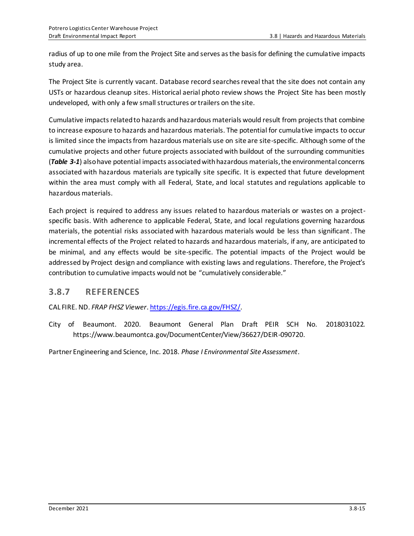radius of up to one mile from the Project Site and serves as the basis for defining the cumulative impacts study area.

The Project Site is currently vacant. Database record searches reveal that the site does not contain any USTs or hazardous cleanup sites. Historical aerial photo review shows the Project Site has been mostly undeveloped, with only a few small structures or trailers on the site.

Cumulative impacts related to hazards and hazardous materials would result from projects that combine to increase exposure to hazards and hazardous materials. The potential for cumulative impacts to occur is limited since the impacts from hazardous materials use on site are site-specific. Although some of the cumulative projects and other future projects associated with buildout of the surrounding communities (*Table 3-1*) also have potential impacts associated with hazardous materials, the environmental concerns associated with hazardous materials are typically site specific. It is expected that future development within the area must comply with all Federal, State, and local statutes and regulations applicable to hazardous materials.

Each project is required to address any issues related to hazardous materials or wastes on a projectspecific basis. With adherence to applicable Federal, State, and local regulations governing hazardous materials, the potential risks associated with hazardous materials would be less than significant. The incremental effects of the Project related to hazards and hazardous materials, if any, are anticipated to be minimal, and any effects would be site-specific. The potential impacts of the Project would be addressed by Project design and compliance with existing laws and regulations. Therefore, the Project's contribution to cumulative impacts would not be "cumulatively considerable."

# **3.8.7 REFERENCES**

CAL FIRE. ND. *FRAP FHSZ Viewer*[. https://egis.fire.ca.gov/FHSZ/.](https://egis.fire.ca.gov/FHSZ/)

City of Beaumont. 2020. Beaumont General Plan Draft PEIR SCH No. 2018031022. https://www.beaumontca.gov/DocumentCenter/View/36627/DEIR-090720.

Partner Engineering and Science, Inc. 2018. *Phase I Environmental Site Assessment*.